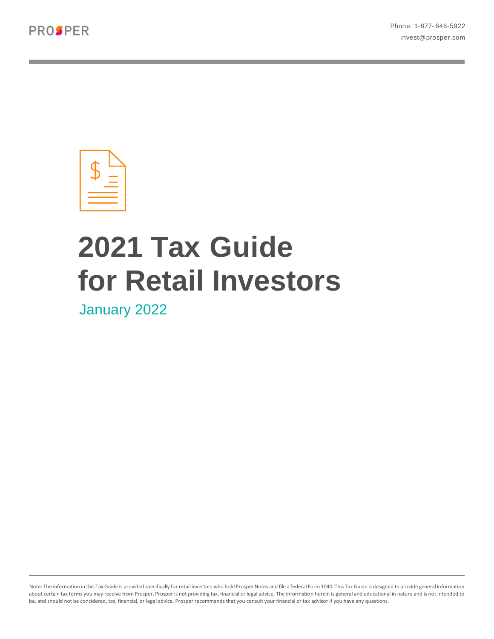

# **2021 Tax Guide for Retail Investors**

January 2022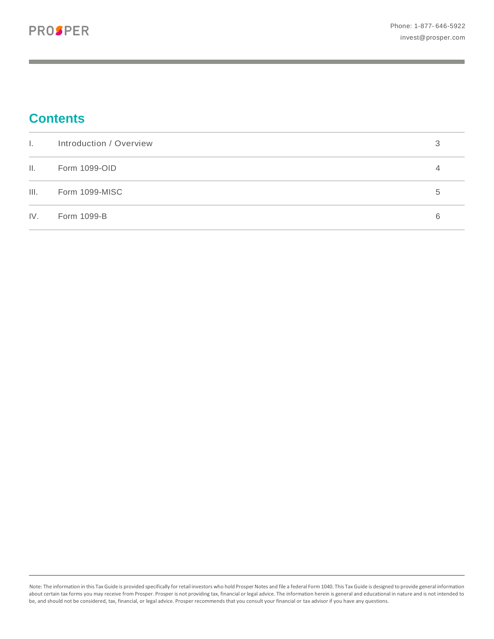# **Contents**

| $\mathbf{L}$    | Introduction / Overview | 3 |
|-----------------|-------------------------|---|
| $\mathbf{II}$ . | Form 1099-OID           | 4 |
| III.            | Form 1099-MISC          | 5 |
| IV.             | Form 1099-B             | 6 |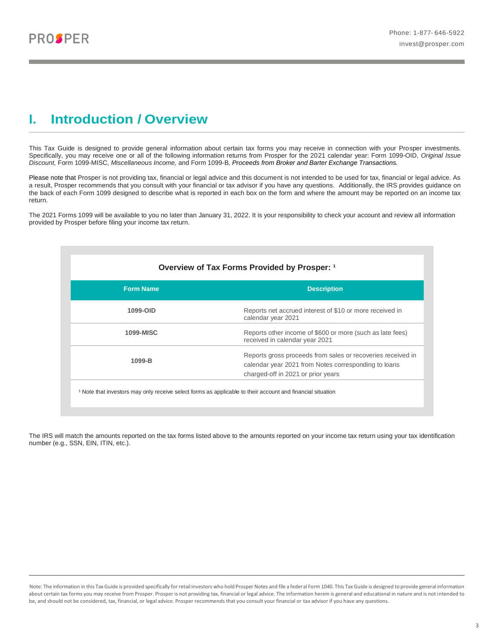### <span id="page-2-0"></span>**I. Introduction / Overview**

This Tax Guide is designed to provide general information about certain tax forms you may receive in connection with your Prosper investments. Specifically, you may receive one or all of the following information returns from Prosper for the 2021 calendar year: Form 1099-OID, *Original Issue Discount,* Form 1099-MISC, *Miscellaneous Income,* and Form 1099-B*, Proceeds from Broker and Barter Exchange Transactions.* 

Please note that Prosper is not providing tax, financial or legal advice and this document is not intended to be used for tax, financial or legal advice. As a result, Prosper recommends that you consult with your financial or tax advisor if you have any questions. Additionally, the IRS provides guidance on the back of each Form 1099 designed to describe what is reported in each box on the form and where the amount may be reported on an income tax return.

The 2021 Forms 1099 will be available to you no later than January 31, 2022. It is your responsibility to check your account and review all information provided by Prosper before filing your income tax return.

|                  | Overview of Tax Forms Provided by Prosper: 1                                                                                                              |
|------------------|-----------------------------------------------------------------------------------------------------------------------------------------------------------|
| <b>Form Name</b> | <b>Description</b>                                                                                                                                        |
| 1099-OID         | Reports net accrued interest of \$10 or more received in<br>calendar year 2021                                                                            |
| <b>1099-MISC</b> | Reports other income of \$600 or more (such as late fees)<br>received in calendar year 2021                                                               |
| 1099-B           | Reports gross proceeds from sales or recoveries received in<br>calendar year 2021 from Notes corresponding to loans<br>charged-off in 2021 or prior years |

The IRS will match the amounts reported on the tax forms listed above to the amounts reported on your income tax return using your tax identification number (e.g., SSN, EIN, ITIN, etc.).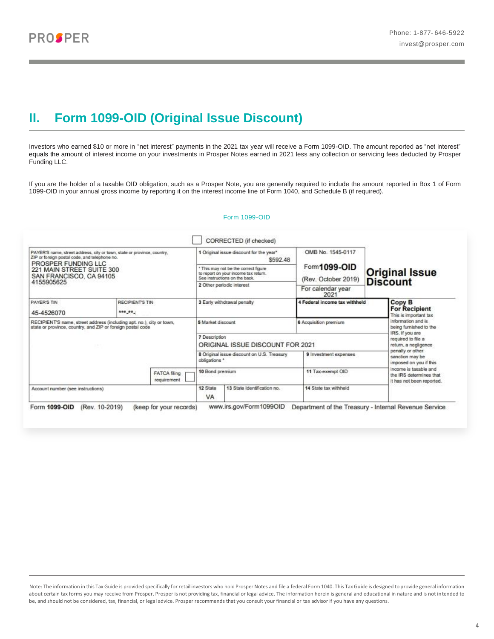## <span id="page-3-0"></span>**II. Form 1099-OID (Original Issue Discount)**

Investors who earned \$10 or more in "net interest" payments in the 2021 tax year will receive a Form 1099-OID. The amount reported as "net interest" equals the amount of interest income on your investments in Prosper Notes earned in 2021 less any collection or servicing fees deducted by Prosper Funding LLC.

If you are the holder of a taxable OID obligation, such as a Prosper Note, you are generally required to include the amount reported in Box 1 of Form 1099-OID in your annual gross income by reporting it on the interest income line of Form 1040, and Schedule B (if required).

### Form 1099-OID

| PAYER'S name, street address, city or town, state or province, country,<br>ZIP or foreign postal code, and telephone no.<br>PROSPER FUNDING LLC |                                                      |                                    | 1 Original issue discount for the year"<br>\$592.48 |                                                                                                               | OMB No. 1545-0117                           |                       |                                                                                                                                                                                                                                                                  |  |
|-------------------------------------------------------------------------------------------------------------------------------------------------|------------------------------------------------------|------------------------------------|-----------------------------------------------------|---------------------------------------------------------------------------------------------------------------|---------------------------------------------|-----------------------|------------------------------------------------------------------------------------------------------------------------------------------------------------------------------------------------------------------------------------------------------------------|--|
|                                                                                                                                                 | 221 MAIN STREET SUITE 300<br>SAN FRANCISCO, CA 94105 |                                    |                                                     | * This may not be the correct figure<br>to report on your income tax return.<br>See instructions on the back. | Form <b>1099-OID</b><br>(Rev. October 2019) | <b>Original Issue</b> |                                                                                                                                                                                                                                                                  |  |
| 4155905625                                                                                                                                      |                                                      |                                    |                                                     | 2 Other periodic interest                                                                                     | For calendar year<br>2021                   | <b>Discount</b>       |                                                                                                                                                                                                                                                                  |  |
| PAYER'S TIN                                                                                                                                     | RECIPIENTS TIN                                       |                                    |                                                     | 3 Early withdrawal penalty                                                                                    | 4 Federal income tax withheld               |                       | Copy B<br><b>For Recipient</b><br>This is important tax                                                                                                                                                                                                          |  |
| 45-4526070                                                                                                                                      | *** ** .                                             |                                    |                                                     |                                                                                                               |                                             |                       |                                                                                                                                                                                                                                                                  |  |
| RECIPIENT'S name, street address (including apt. no.), city or town,<br>state or province, country, and ZIP or foreign postal code              |                                                      |                                    | 5 Market discount                                   |                                                                                                               | 6 Acquisition premium                       |                       | information and is.<br>being furnished to the<br>IRS. If you are<br>required to file a<br>return, a negligence<br>penalty or other<br>sanction may be<br>imposed on you if this<br>income is taxable and<br>the IRS determines that<br>it has not been reported. |  |
|                                                                                                                                                 |                                                      |                                    | 7 Description                                       | ORIGINAL ISSUE DISCOUNT FOR 2021                                                                              |                                             |                       |                                                                                                                                                                                                                                                                  |  |
|                                                                                                                                                 |                                                      |                                    | obligations *                                       | 8 Original issue discount on U.S. Treasury                                                                    | 9 Investment expenses                       |                       |                                                                                                                                                                                                                                                                  |  |
|                                                                                                                                                 |                                                      | <b>FATCA filing</b><br>requirement | 10 Bond premium                                     |                                                                                                               | 11 Tax-exempt OID                           |                       |                                                                                                                                                                                                                                                                  |  |
| Account number (see instructions)                                                                                                               |                                                      |                                    | 12 State<br>VA                                      | 13 State Identification no.                                                                                   | 14 State tax withheld                       |                       |                                                                                                                                                                                                                                                                  |  |

Note: The information in this Tax Guide is provided specifically for retail investors who hold Prosper Notes and file a federal Form 1040. This Tax Guide is designed to provide general information about certain tax forms you may receive from Prosper. Prosper is not providing tax, financial or legal advice. The information herein is general and educational in nature and is not intended to be, and should not be considered, tax, financial, or legal advice. Prosper recommends that you consult your financial or tax advisor if you have any questions.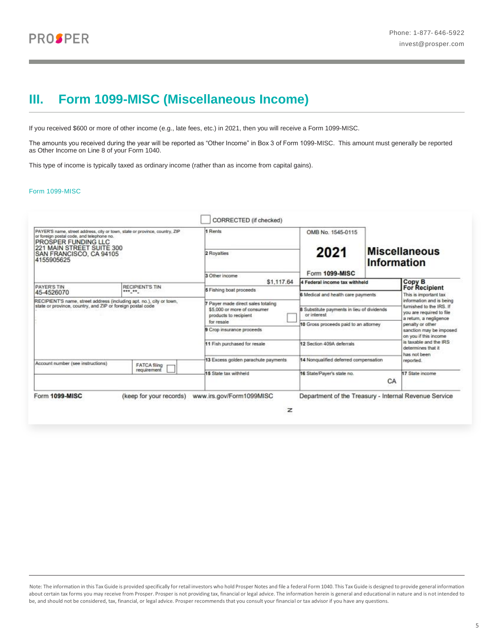### <span id="page-4-0"></span>**III. Form 1099-MISC (Miscellaneous Income)**

If you received \$600 or more of other income (e.g., late fees, etc.) in 2021, then you will receive a Form 1099-MISC.

The amounts you received during the year will be reported as "Other Income" in Box 3 of Form 1099-MISC. This amount must generally be reported as Other Income on Line 8 of your Form 1040.

This type of income is typically taxed as ordinary income (rather than as income from capital gains).

### Form 1099-MISC

| PAYER'S name, street address, city or town, state or province, country, ZIP<br>or foreign postal code, and telephone no.<br>PROSPER FUNDING LLC<br>221 MAIN STREET SUITE 300 |                        | 1 Rents                                               | OMB No. 1545-0115                                         |                                     |                                                                                |
|------------------------------------------------------------------------------------------------------------------------------------------------------------------------------|------------------------|-------------------------------------------------------|-----------------------------------------------------------|-------------------------------------|--------------------------------------------------------------------------------|
| SAN FRANCISCO, CA 94105<br>4155905625                                                                                                                                        |                        | 2 Royalties                                           | 2021                                                      | <b>Miscellaneous</b><br>Information |                                                                                |
|                                                                                                                                                                              |                        | 3 Other income                                        | Form 1099-MISC                                            |                                     |                                                                                |
| <b>PAYER'S TIN</b>                                                                                                                                                           | <b>RECIPIENT'S TIN</b> | \$1,117.64                                            | 4 Federal income tax withheld                             |                                     | Copy B<br><b>For Recipient</b>                                                 |
| 45-4526070                                                                                                                                                                   | *** **                 | <b>5</b> Fishing boat proceeds                        | 6 Medical and health care payments                        |                                     | This is important tax                                                          |
| RECIPIENT'S name, street address (including apt. no.), city or town,                                                                                                         |                        | Payer made direct sales totaling                      |                                                           |                                     | information and is being                                                       |
| state or province, country, and ZIP or foreign postal code                                                                                                                   |                        | \$5,000 or more of consumer<br>products to recipient. | 8 Substitute payments in lieu of dividends<br>or interest |                                     | furnished to the IRS. If<br>you are required to file<br>a return, a negligence |
|                                                                                                                                                                              |                        | for resale                                            | 10 Gross proceeds paid to an attorney                     |                                     | penalty or other                                                               |
|                                                                                                                                                                              |                        | 9 Crop insurance proceeds                             |                                                           |                                     | sanction may be imposed.<br>on you if this income                              |
|                                                                                                                                                                              |                        | 11 Fish purchased for resale                          | 12 Section 409A deferrals                                 |                                     | is taxable and the IRS<br>determines that it<br>has not been                   |
| Account number (see instructions)                                                                                                                                            | <b>FATCA filing</b>    | 13 Excess golden parachute payments                   | 14 Nonqualified deferred compensation                     |                                     | reported.                                                                      |
|                                                                                                                                                                              | requirement            | 15 State tax withheld                                 | 16 State/Payer's state no.                                | CA                                  | 17 State income                                                                |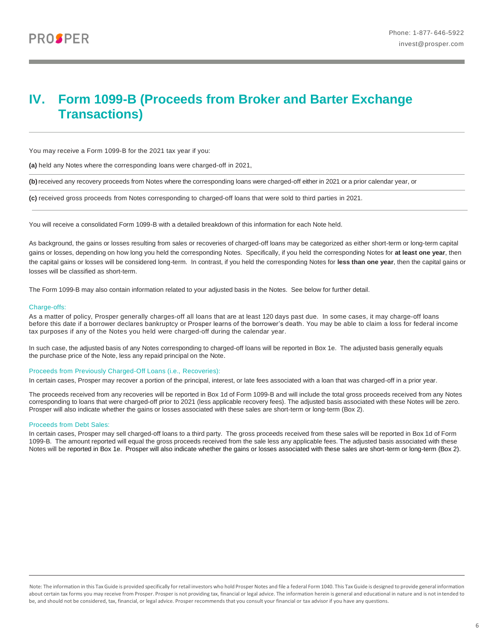### <span id="page-5-0"></span>**IV. Form 1099-B (Proceeds from Broker and Barter Exchange Transactions)**

You may receive a Form 1099-B for the 2021 tax year if you:

**(a)** held any Notes where the corresponding loans were charged-off in 2021,

**(b)**received any recovery proceeds from Notes where the corresponding loans were charged-off either in 2021 or a prior calendar year, or

**(c)** received gross proceeds from Notes corresponding to charged-off loans that were sold to third parties in 2021.

You will receive a consolidated Form 1099-B with a detailed breakdown of this information for each Note held.

As background, the gains or losses resulting from sales or recoveries of charged-off loans may be categorized as either short-term or long-term capital gains or losses, depending on how long you held the corresponding Notes. Specifically, if you held the corresponding Notes for **at least one year**, then the capital gains or losses will be considered long-term. In contrast, if you held the corresponding Notes for **less than one year**, then the capital gains or losses will be classified as short-term.

The Form 1099-B may also contain information related to your adjusted basis in the Notes. See below for further detail.

#### Charge-offs:

As a matter of policy, Prosper generally charges-off all loans that are at least 120 days past due. In some cases, it may charge-off loans before this date if a borrower declares bankruptcy or Prosper learns of the borrower's death. You may be able to claim a loss for federal income tax purposes if any of the Notes you held were charged-off during the calendar year.

In such case, the adjusted basis of any Notes corresponding to charged-off loans will be reported in Box 1e. The adjusted basis generally equals the purchase price of the Note, less any repaid principal on the Note.

### Proceeds from Previously Charged-Off Loans (i.e., Recoveries):

In certain cases, Prosper may recover a portion of the principal, interest, or late fees associated with a loan that was charged-off in a prior year.

The proceeds received from any recoveries will be reported in Box 1d of Form 1099-B and will include the total gross proceeds received from any Notes corresponding to loans that were charged-off prior to 2021 (less applicable recovery fees). The adjusted basis associated with these Notes will be zero. Prosper will also indicate whether the gains or losses associated with these sales are short-term or long-term (Box 2).

#### Proceeds from Debt Sales:

In certain cases, Prosper may sell charged-off loans to a third party. The gross proceeds received from these sales will be reported in Box 1d of Form 1099-B. The amount reported will equal the gross proceeds received from the sale less any applicable fees. The adjusted basis associated with these Notes will be reported in Box 1e. Prosper will also indicate whether the gains or losses associated with these sales are short-term or long-term (Box 2).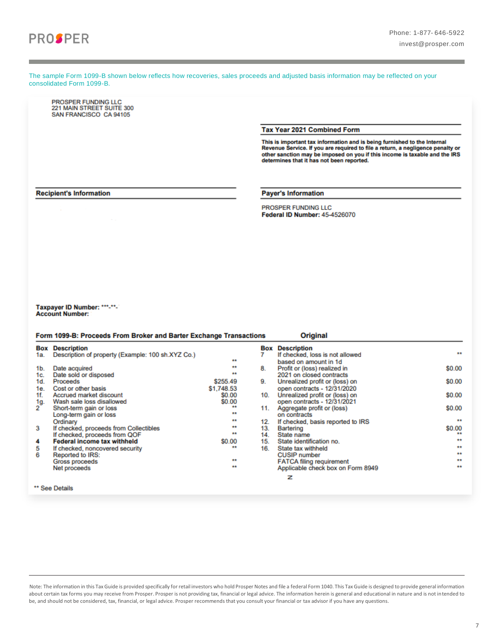

The sample Form 1099-B shown below reflects how recoveries, sales proceeds and adjusted basis information may be reflected on your consolidated Form 1099-B.

PROSPER FUNDING LLC 221 MAIN STREET SUITE 300 SAN FRANCISCO CA 94105

Tax Year 2021 Combined Form

This is important tax information and is being furnished to the Internal<br>Revenue Service. If you are required to file a return, a negligence penalty or Nevenue Service. In your are required to me a return, a negligence penalty or<br>other sanction may be imposed on you if this income is taxable and the IRS<br>determines that it has not been reported.

#### **Recipient's Information**

**Payer's Information** 

**PROSPER FUNDING LLC** Federal ID Number: 45-4526070

Taxpayer ID Number: \*\*\*-\*\*-**Account Number:** 

|     | Form 1099-B: Proceeds From Broker and Barter Exchange Transactions |                  |     | <b>Original</b>                   |                  |
|-----|--------------------------------------------------------------------|------------------|-----|-----------------------------------|------------------|
|     | <b>Box Description</b>                                             |                  |     | <b>Box Description</b>            |                  |
| 1a. | Description of property (Example: 100 sh.XYZ Co.)                  |                  |     | If checked, loss is not allowed   | $\bullet\bullet$ |
|     |                                                                    | **               |     | based on amount in 1d             |                  |
| 1b. | Date acquired                                                      | **               | 8.  | Profit or (loss) realized in      | \$0.00           |
| 1c. | Date sold or disposed                                              | $\pm$            |     | 2021 on closed contracts          |                  |
| 1d. | Proceeds                                                           | \$255.49         | 9.  | Unrealized profit or (loss) on    | \$0.00           |
| 1е. | Cost or other basis                                                | \$1,748.53       |     | open contracts - 12/31/2020       |                  |
| 1f. | Accrued market discount                                            | \$0.00           | 10. | Unrealized profit or (loss) on    | \$0.00           |
| 1g. | Wash sale loss disallowed                                          | \$0.00           |     | open contracts - 12/31/2021       |                  |
| 2   | Short-term gain or loss                                            | $\bullet\bullet$ | 11. | Aggregate profit or (loss)        | \$0.00           |
|     | Long-term gain or loss                                             | $\star\star$     |     | on contracts                      |                  |
|     | Ordinary                                                           | $\pm\pm$         | 12. | If checked, basis reported to IRS | $\pm\pm$         |
| з   | If checked, proceeds from Collectibles                             | $\star\star$     | 13. | Bartering                         | \$0.00           |
|     | If checked, proceeds from QOF                                      | $\star\star$     | 14. | State name                        | $\bullet\bullet$ |
| 4   | <b>Federal income tax withheld</b>                                 | \$0.00           | 15. | State identification no.          | $\pm\pm$         |
| 5   | If checked, noncovered security                                    | $\pm$            | 16. | State tax withheld                | $\ddot{\bullet}$ |
| 6   | Reported to IRS:                                                   |                  |     | <b>CUSIP</b> number               | $\bullet\bullet$ |
|     | Gross proceeds                                                     | $\star\star$     |     | <b>FATCA filing requirement</b>   | $+ +$            |
|     | Net proceeds                                                       | **               |     | Applicable check box on Form 8949 | $\bullet\star$   |
|     |                                                                    |                  |     | z                                 |                  |

\*\* See Details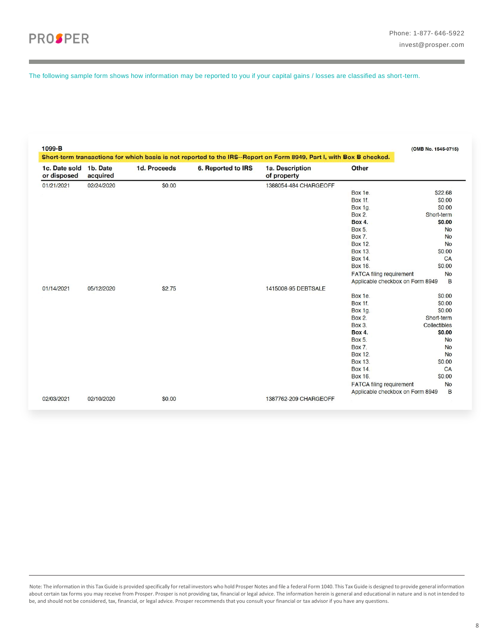The following sample form shows how information may be reported to you if your capital gains / losses are classified as short-term.

|                              |                      |              |                    | Short-term transactions for which basis is not reported to the IRS--Report on Form 8949, Part I, with Box B checked. |                                  |              |
|------------------------------|----------------------|--------------|--------------------|----------------------------------------------------------------------------------------------------------------------|----------------------------------|--------------|
| 1c. Date sold<br>or disposed | 1b. Date<br>acquired | 1d. Proceeds | 6. Reported to IRS | 1a. Description<br>of property                                                                                       | Other                            |              |
| 01/21/2021                   | 02/24/2020           | \$0.00       |                    | 1388054-484 CHARGEOFF                                                                                                |                                  |              |
|                              |                      |              |                    |                                                                                                                      | Box 1e.                          | \$22.68      |
|                              |                      |              |                    |                                                                                                                      | Box 1f.                          | \$0.00       |
|                              |                      |              |                    |                                                                                                                      | Box 1g.                          | \$0.00       |
|                              |                      |              |                    |                                                                                                                      | <b>Box 2.</b>                    | Short-term   |
|                              |                      |              |                    |                                                                                                                      | <b>Box 4.</b>                    | \$0.00       |
|                              |                      |              |                    |                                                                                                                      | <b>Box 5.</b>                    | <b>No</b>    |
|                              |                      |              |                    |                                                                                                                      | <b>Box 7.</b>                    | <b>No</b>    |
|                              |                      |              |                    |                                                                                                                      | <b>Box 12.</b>                   | <b>No</b>    |
|                              |                      |              |                    |                                                                                                                      | <b>Box 13</b>                    | \$0.00       |
|                              |                      |              |                    |                                                                                                                      | <b>Box 14.</b>                   | CA           |
|                              |                      |              |                    |                                                                                                                      | Box 16.                          | \$0.00       |
|                              |                      |              |                    |                                                                                                                      | <b>FATCA filing requirement</b>  | <b>No</b>    |
|                              |                      |              |                    |                                                                                                                      | Applicable checkbox on Form 8949 | B            |
| 01/14/2021                   | 05/12/2020           | \$2.75       |                    | 1415008-95 DEBTSALE                                                                                                  |                                  |              |
|                              |                      |              |                    |                                                                                                                      | Box 1e.                          | \$0.00       |
|                              |                      |              |                    |                                                                                                                      | Box 1f.                          | \$0.00       |
|                              |                      |              |                    |                                                                                                                      | Box 1g.                          | \$0.00       |
|                              |                      |              |                    |                                                                                                                      | <b>Box 2.</b>                    | Short-term   |
|                              |                      |              |                    |                                                                                                                      | <b>Box 3.</b>                    | Collectibles |
|                              |                      |              |                    |                                                                                                                      | <b>Box 4.</b>                    | \$0.00       |
|                              |                      |              |                    |                                                                                                                      | <b>Box 5.</b>                    | <b>No</b>    |
|                              |                      |              |                    |                                                                                                                      | Box 7.                           | <b>No</b>    |
|                              |                      |              |                    |                                                                                                                      | <b>Box 12.</b>                   | <b>No</b>    |
|                              |                      |              |                    |                                                                                                                      | Box 13.                          | \$0.00       |
|                              |                      |              |                    |                                                                                                                      | <b>Box 14.</b>                   | CA           |
|                              |                      |              |                    |                                                                                                                      | Box 16.                          | \$0.00       |
|                              |                      |              |                    |                                                                                                                      | <b>FATCA filing requirement</b>  | <b>No</b>    |
|                              |                      |              |                    |                                                                                                                      | Applicable checkbox on Form 8949 | B            |